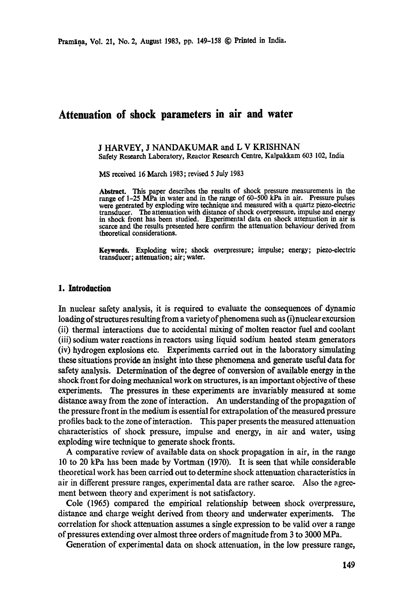# **Attenuation of shock parameters in air and water**

J HARVEY, J NANDAKUMAR and L V KRISHNAN Safety Research Laboratory, Reactor Research Centre, Kalpakkam 603 102, India

MS received 16 March 1983; revised 5 July 1983

**Abstract.** This paper describes the results of shock pressure measurements in the range of 1-25 MPa in water and in the range of 60-500 kPa in air. Pressure pulses were generated by exploding wire technique and measured with a quartz piezo-electric transducer. The attenuation with distance of shock overpressure, impulse and energy **in** shock front has been studied. Experimental data on shock attenuation in air is scarce and the results presented here confirm the attenuation behaviour derived from theoretical considerations.

Keywords. Exploding wire; shock overpressure; impulse; energy; piezo.electric **transducer; attenuation; air; water.** 

### **1. Introduction**

In nuclear safety analysis, it is required to evaluate the consequences of dynamic loading of structures resulting from a variety of phenomena such as (i) nuclear excursion (ii) thermal interactions due to accidental mixing of molten reactor fuel and coolant (iii) sodium water reactions in reactors using liquid sodium heated steam generators (iv) hydrogen explosions etc. Experiments carried out in the laboratory simulating these situations provide an insight into these phenomena and generate useful data for safety analysis. Determination of the degree of conversion of available energy in the shock front for doing mechanical work on structures, is an important objective of these experiments. The pressures in these experiments are invariably measured at some distance away from the zone of interaction. An understanding of the propagation of the pressure front in the medium is essential for extrapolation of the measured pressure profiles back to the zone of interaction. This paper presents the measured attenuation characteristics of shock pressure, impulse and energy, in air and water, using exploding wire technique to generate shook fronts.

A comparative review of available data on shock propagation in air, in the range 10 to 20 kPa has been made by Vortman (1970). It is seen that while considerable theoretical work has been carried out to determine shock attenuation characteristics in air in different pressure ranges, experimental data are rather scarce. Also the agreement between theory and experiment is not satisfactory.

Cole (1965) compared the empirical relationship between shock overpressure, distance and charge weight derived from theory and underwater experiments. The correlation for shock attenuation assumes a single expression to be valid over a range of pressures extending over almost three orders of magnitude from 3 to 3000 MPa.

Generation of experimental data on shock attenuation, in the low pressure range,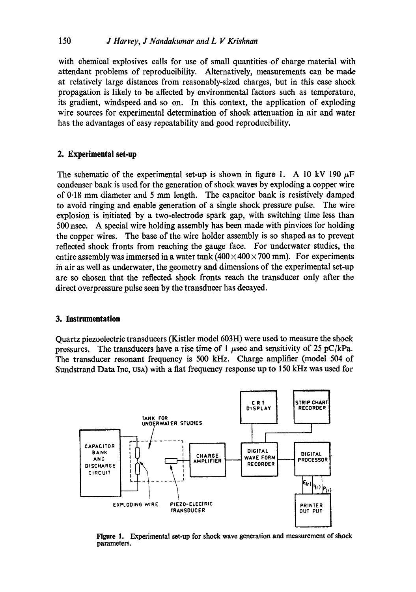with chemical explosives calls for use of small quantities of charge material with attendant problems of reproducibility. Alternatively, measurements can be made at relatively large distances from reasonably-sized charges, but in this case shock propagation is likely to be affected by environmental factors such as temperature, its gradient, windspeed and so on. In this context, the application of exploding wire sources for experimental determination of shock attenuation in air and water has the advantages of easy repeatability and good reproducibility.

# **2. Experimental set-up**

The schematic of the experimental set-up is shown in figure 1. A 10 kV 190  $\mu$ F condenser bank is used for the generation of shock waves by exploding a copper wire of 0.18 mm diameter and 5 mm length. The capacitor bank is resistively damped to avoid ringing and enable generation of a single shock pressure pulse. The wire explosion is initiated by a two-electrode spark gap, with switching time less than 500 nsec. A special wire holding assembly has been made with pinvices for holding the copper wires. The base of the wire holder assembly is so shaped as to prevent reflected shock fronts from reaching the gauge face. For underwater studies, the entire assembly was immersed in a water tank  $(400 \times 400 \times 700$  mm). For experiments in air as well as underwater, the geometry and dimensions of the experimental set-up are so chosen that the reflected shock fronts reach the transducer only after the direct overpressure pulse seen by the transducer has decayed.

## **3. Instrumentation**

Quartz piezoelectric transducers (Kistler model 603H) were used to measure the shock pressures. The transducers have a rise time of 1  $\mu$ sec and sensitivity of 25 pC/kPa. The transducer resonant frequency is 500 kHz. Charge amplifier (model 504 of Sundstrand Data Inc, USA) with a flat frequency response up to 150 kHz was used for



**Figure 1. Experimental set-up for shock wave generation and measurement of shock parameters.**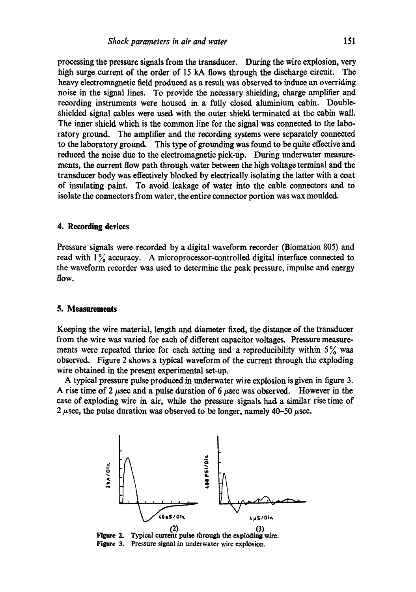processing the pressure signals from the transducer. During the wire explosion, very high surge current of the order of 15 kA flows through the discharge circuit. The heavy electromagnetic field produced as a result was observed to induce an overriding noise in the signal lines. To provide the necessary shielding, charge amplifier and recording instruments were housed in a fully closed aluminium cabin. Doubleshielded signal cables were used with the outer shield terminated at the cabin wall. The inner shield which is the common line for the signal was connected to the laboratory ground. The amplifier and the recording systems were separately connected to the laboratory ground. This type of grounding was found to be quite effective and reduced the noise due to the electromagnetic pick-up. During underwater measuremerits, the current flow path through water between the high voltage terminal and the transducer body was effectively blocked by electrically isolating the latter with a coat of insulating paint. To avoid leakage of water into the cable connectors and to isolate the connectors from water, the entire connector portion was wax moulded.

## **4. Recording devices**

Pressure signals were recorded by a digital waveform recorder (Biomation 805) and read with  $1\%$  accuracy. A microprocessor-controlled digital interface connected to the waveform recorder was used to determine the peak pressure, impulse and energy flow.

#### **5. Measurements**

Keeping the wire material, length and diameter fixed, the distance of the transducer from the wire was varied for each of different capacitor voltages. Pressure measurements were repeated thrice for each setting and a reproducibility within  $5\%$  was observed. Figure 2 shows a typical waveform of the current through the exploding wire obtained in the present experimental set-up.

A typical pressure pulse produced in underwater wire explosion is given in figure 3. A rise time of 2  $\mu$ sec and a pulse duration of 6  $\mu$ sec was observed. However in the case of exploding wire in air, while the pressure signals had a similar rise time of 2  $\mu$ sec, the pulse duration was observed to be longer, namely 40–50  $\mu$ sec.



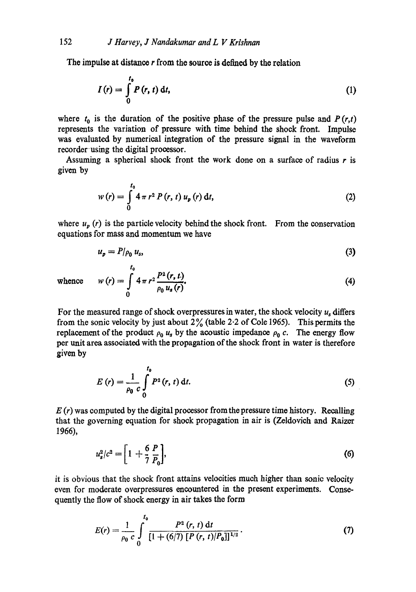The impulse at distance r from the source is defined by the relation

$$
I(r) = \int_{0}^{t_0} P(r, t) dt,
$$
 (1)

where  $t_0$  is the duration of the positive phase of the pressure pulse and  $P(r,t)$ represents the variation of pressure with time behind the shock front. Impulse was evaluated by numerical integration of the pressure signal in the waveform recorder using the digital processor.

Assuming a spherical shock front the work done on a surface of radius  $r$  is given by

$$
w(r) = \int_{0}^{t_0} 4 \pi r^2 P(r, t) u_p(r) dt,
$$
 (2)

where  $u_p(r)$  is the particle velocity behind the shock front. From the conservation equations for mass and momentum we have

$$
u_p = P/\rho_0 u_s,\tag{3}
$$

$$
w(r) = \int_{0}^{r_0} 4 \pi r^2 \frac{P^2(r, t)}{\rho_0 u_s(r)}.
$$
 (4)

whence

For the measured range of shock overpressures in water, the shock velocity  $u_s$  differs from the sonic velocity by just about  $2\frac{9}{6}$  (table 2.2 of Cole 1965). This permits the replacement of the product  $\rho_0 u_s$  by the acoustic impedance  $\rho_0 c$ . The energy flow per unit area associated with the propagation of the shock front in water is therefore given by

$$
E(r) = \frac{1}{\rho_0} \int_0^{t_0} P^2(r, t) dt.
$$
 (5)

 $E(r)$  was computed by the digital processor from the pressure time history. Recalling that the governing equation for shock propagation in air is (Zeldovich and Raizor 1966),

$$
u_s^2/c^2 = \left[1 + \frac{6}{7} \frac{P}{P_0}\right],\tag{6}
$$

it is obvious that the shock front attains velocities much higher than sonic velocity even for moderate overpressures encountered in the present experiments. Consequently the flow of shock energy in air takes the form

$$
E(r) = \frac{1}{\rho_0 c} \int_0^{r_0} \frac{P^2(r, t) dt}{[1 + (6/7) [P(r, t)/P_0]]^{1/2}}.
$$
 (7)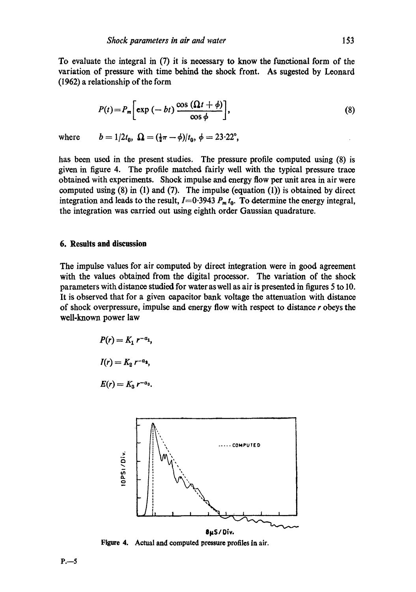To evaluate the integral in (7) it is necessary to know the functional form of the variation of pressure with time behind the shook front. As sugested by Leonard (1962) a relationship of the form

$$
P(t) = P_m \bigg[ \exp(-bt) \, \frac{\cos(\Omega t + \phi)}{\cos \phi} \bigg],\tag{8}
$$

where  $b = 1/2t_0$ ,  $\Omega = (\frac{1}{2}\pi - \phi)/t_0$ ,  $\phi = 23.22^{\circ}$ ,

has been used in the present studies. The pressure profile computed using (8) is given in figure 4. The profile matched fairly well with the typical pressure trace obtained with experiments. Shock impulse and energy flow per unit area in air were computed using  $(8)$  in  $(1)$  and  $(7)$ . The impulse (equation  $(1)$ ) is obtained by direct integration and leads to the result,  $I=0.3943 P_m t_0$ . To determine the energy integral, the integration was carried out using eighth order Gaussian quadrature.

### **6. Results and discussion**

The impulse values for air computed by direct integration were in good agreement with the values obtained from the digital processor. The variation of the shock parameters with distance studied for water as well as air is presented in figures 5 to 10. It is observed that for a given capacitor bank voltage the attenuation with distance of shock overpressure, impulse and energy flow with respect to distance r obeys the well-known power law

$$
P(r) = K_1 r^{-a_1},
$$
  
\n
$$
I(r) = K_2 r^{-a_2},
$$
  
\n
$$
E(r) = K_3 r^{-a_3}.
$$



**Figure 4. Actual and computed pressure profiles in air.**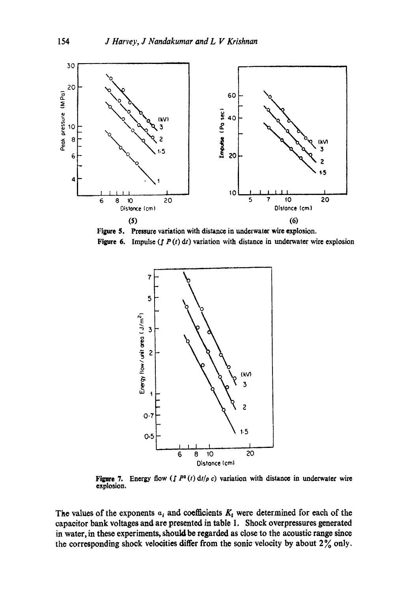

**Figure 5.**  Pressure variation with distance in underwater wire explosion. **Figure 6.** Impulse ( $\int P(t) dt$ ) variation with distance in underwater wire explosion

![](_page_5_Figure_3.jpeg)

**Figure 7.** Energy flow  $(\int P^2(t) dt/\rho c)$  variation with distance in underwater wire explosion.

The values of the exponents  $a_i$  and coefficients  $K_i$  were determined for each of the capacitor bank voltages and are presented in table 1. Shock overpressures generated in water, in these experiments, should be regarded as close to the acoustic range since the corresponding shock velocities differ from the sonic velocity by about  $2\%$  only.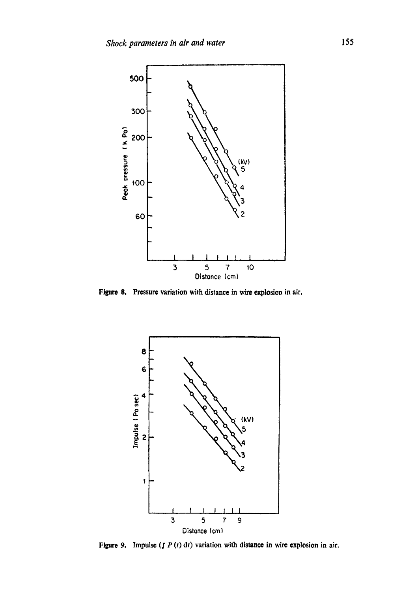![](_page_6_Figure_1.jpeg)

Figure 8. Pressure variation with distance in wire explosion in air.

![](_page_6_Figure_3.jpeg)

Figure 9. Impulse ( $f P(t) dt$ ) variation with distance in wire explosion in air.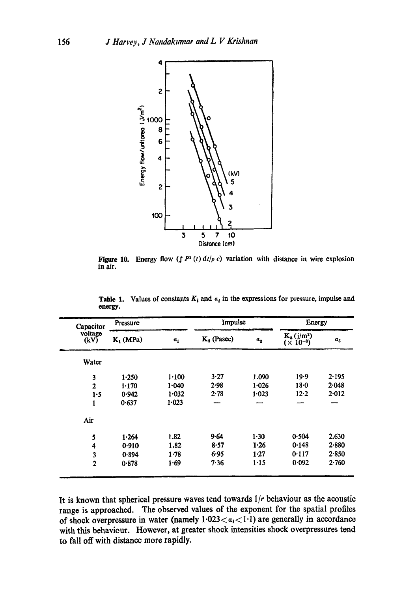![](_page_7_Figure_1.jpeg)

Figure 10. Energy flow  $(\int P^2(t) dt/\rho c)$  variation with distance in wire explosion in air.

| Capacitor               | Pressure    |       | Impulse       |         | Energy                              |       |
|-------------------------|-------------|-------|---------------|---------|-------------------------------------|-------|
| voltage<br>(kV)         | $K_1$ (MPa) | $a_1$ | $K_2$ (Pasec) | $a_{2}$ | $K_a (j/m^2)$<br>$(\times 10^{-3})$ | $a_3$ |
| Water                   |             |       |               |         |                                     |       |
| 3                       | 1.250       | 1.100 | 3.27          | 1.090   | 19.9                                | 2.195 |
| $\overline{2}$          | 1.170       | 1.040 | 2.98          | 1.026   | $18-0$                              | 2.048 |
| 1.5                     | 0.942       | 1.032 | $2 - 78$      | 1.023   | $12 - 2$                            | 2.012 |
| 1                       | 0.637       | 1.023 | ---           |         |                                     |       |
| Air                     |             |       |               |         |                                     |       |
| 5                       | 1.264       | 1.82  | 9.64          | 1.30    | 0.504                               | 2.630 |
| 4                       | 0.910       | 1.82  | 8.57          | 1.26    | 0.148                               | 2.880 |
| $\overline{\mathbf{3}}$ | 0.894       | 1.78  | 6.95          | 1.27    | 0.117                               | 2.850 |
| $\mathbf{2}$            | 0.878       | 1.69  | 7.36          | 1.15    | 0.092                               | 2.760 |

Table 1. Values of constants  $K_i$  and  $a_i$  in the expressions for pressure, impulse and energy.

It is known that spherical pressure waves tend towards *1/r* behaviour as the acoustio range is approached. The observed values of the exponent for the spatial profiles of shock overpressure in water (namely  $1.023 < a_1 < 1.1$ ) are generally in accordance with this behavieur. However, at greater shock intensities shock overpressures tend to fall off with distance more rapidly.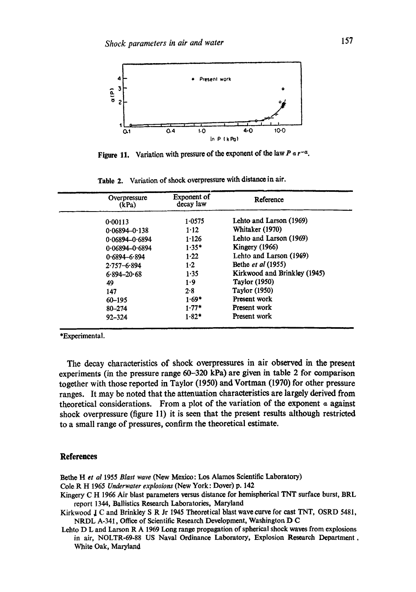![](_page_8_Figure_1.jpeg)

**Figure 11.**  Variation with pressure of the exponent of the law *P a r -a.* 

|     | Overpressure<br>(kPa) | <b>Exponent</b> of<br>decay law | Reference                    |
|-----|-----------------------|---------------------------------|------------------------------|
|     | 0.00113               | 1.0575                          | Lehto and Larson (1969)      |
|     | $0.06894 - 0.138$     | $1-12$                          | Whitaker (1970)              |
|     | $0.06894 - 0.6894$    | 1.126                           | Lehto and Larson (1969)      |
|     | $0.06894 - 0.6894$    | $1.35*$                         | Kingery (1966)               |
|     | $0.6894 - 6.894$      | 1.22                            | Lehto and Larson (1969)      |
|     | $2.757 - 6.894$       | 1·2                             | Bethe et al (1955)           |
|     | $6.894 - 20.68$       | 1.35                            | Kirkwood and Brinkley (1945) |
| 49  |                       | 1.9                             | <b>Taylor</b> (1950)         |
| 147 |                       | 2.8                             | <b>Taylor</b> (1950)         |
|     | 60-195                | $1.69*$                         | Present work                 |
|     | 80-274                | $1.77*$                         | Present work                 |
|     | $92 - 324$            | $1.82*$                         | Present work                 |

Table 2. Variation of shock overpressure with distance in air.

\*Experimental.

The decay characteristics of shock overpressures in air observed in the present experiments (in the pressure range 60-320 kPa) are given in table 2 for comparison together with those reported in Taylor (1950) and Vortman (1970) for other pressure ranges. It may be noted that the attenuation characteristics are largely derived from theoretical considerations. From a plot of the variation of the exponent  $\alpha$  against shock overpressure (figure 11) it is seen that the present results although restricted to a small range of pressures, confirm the theoretical estimate.

#### **References**

Bethe H *et al* 1955 *Blast wave* (New Mexico: Los Alamos Scientific Laboratory)

- Cole R H 1965 *Underwater explosions* (New York: Dover) p. 142
- Kingery C H 1966 Air blast parameters versus distance for hemispherical TNT surface burst, BRL report 1344, Ballistics Research Laboratories, Maryland

Kirkwood J C and Brinkley S R Jr 1945 Theoretical blast wave curve for cast TNT, OSRD 5481, NRDL A-341, Office of Scientific Research Development, Washington D C

Lehto D L and Larson R A 1969 Long range propagation of spherical shock waves from explosions in air, NOLTR-69-88 US Naval Ordinance Laboratory, Explosion Research Department, White Oak, Maryland